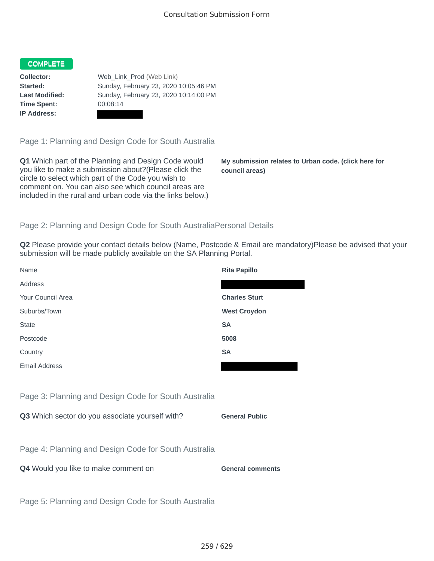## COMPLETE

**Time Spent:** 00:08:14 **IP Address:**

**Collector:** Web\_Link\_Prod (Web Link) **Started:** Sunday, February 23, 2020 10:05:46 PM **Last Modified:** Sunday, February 23, 2020 10:14:00 PM

Page 1: Planning and Design Code for South Australia

**Q1** Which part of the Planning and Design Code would you like to make a submission about?(Please click the circle to select which part of the Code you wish to comment on. You can also see which council areas are included in the rural and urban code via the links below.)

**My submission relates to Urban code. (click here for council areas)**

# Page 2: Planning and Design Code for South AustraliaPersonal Details

**Q2** Please provide your contact details below (Name, Postcode & Email are mandatory)Please be advised that your submission will be made publicly available on the SA Planning Portal.

| Name                                                 | <b>Rita Papillo</b>     |
|------------------------------------------------------|-------------------------|
| Address                                              |                         |
| Your Council Area                                    | <b>Charles Sturt</b>    |
| Suburbs/Town                                         | <b>West Croydon</b>     |
| <b>State</b>                                         | <b>SA</b>               |
| Postcode                                             | 5008                    |
| Country                                              | <b>SA</b>               |
| <b>Email Address</b>                                 |                         |
|                                                      |                         |
| Page 3: Planning and Design Code for South Australia |                         |
| Q3 Which sector do you associate yourself with?      | <b>General Public</b>   |
|                                                      |                         |
| Page 4: Planning and Design Code for South Australia |                         |
| Q4 Would you like to make comment on                 | <b>General comments</b> |
|                                                      |                         |
| Page 5: Planning and Design Code for South Australia |                         |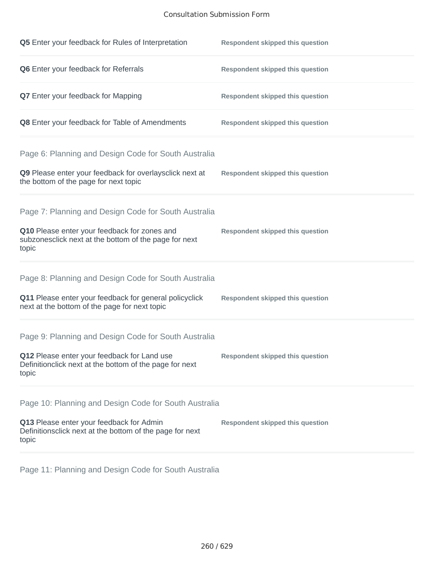# Consultation Submission Form

| Q5 Enter your feedback for Rules of Interpretation                                                              | <b>Respondent skipped this question</b> |
|-----------------------------------------------------------------------------------------------------------------|-----------------------------------------|
| Q6 Enter your feedback for Referrals                                                                            | <b>Respondent skipped this question</b> |
| <b>Q7</b> Enter your feedback for Mapping                                                                       | <b>Respondent skipped this question</b> |
| Q8 Enter your feedback for Table of Amendments                                                                  | <b>Respondent skipped this question</b> |
| Page 6: Planning and Design Code for South Australia                                                            |                                         |
| Q9 Please enter your feedback for overlaysclick next at<br>the bottom of the page for next topic                | <b>Respondent skipped this question</b> |
| Page 7: Planning and Design Code for South Australia                                                            |                                         |
| Q10 Please enter your feedback for zones and<br>subzonesclick next at the bottom of the page for next<br>topic  | <b>Respondent skipped this question</b> |
| Page 8: Planning and Design Code for South Australia                                                            |                                         |
| Q11 Please enter your feedback for general policyclick<br>next at the bottom of the page for next topic         | <b>Respondent skipped this question</b> |
| Page 9: Planning and Design Code for South Australia                                                            |                                         |
| Q12 Please enter your feedback for Land use<br>Definitionclick next at the bottom of the page for next<br>topic | <b>Respondent skipped this question</b> |
| Page 10: Planning and Design Code for South Australia                                                           |                                         |
| Q13 Please enter your feedback for Admin<br>Definitionsclick next at the bottom of the page for next<br>topic   | <b>Respondent skipped this question</b> |

Page 11: Planning and Design Code for South Australia